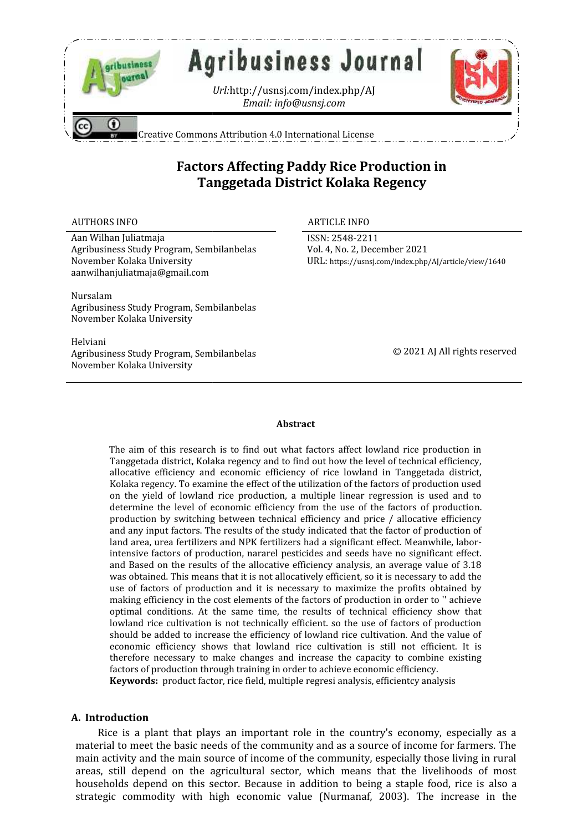

# Factors Affecting Paddy Rice Production in **Tanggetada District Kolaka Regency**

#### AUTHORS INFO ARTICLE INFO

Aan Wilhan Juliatmaja Agribusiness Study Program, Sembilanbelas November Kolaka University aanwilhanjuliatmaja@gmail.com

ISSN: 2548-2211 ISSN:Vol. 4, No. 2, December 2021 URL: https://usnsj.com/index.php/AJ/article/view/1640

Nursalam Agribusiness Study Program, Sembilanbelas November Kolaka University

Helviani Agribusiness Study Program, Sembilanbelas November Kolaka University

© 2021 AJ All rights reserved

#### **Abstract**

The aim of this research is to find out what factors affect lowland rice production in Tanggetada district, Kolaka regency and to find out how the level of technical efficiency, allocative efficiency and economic efficiency of rice lowland in Tanggetada district, Kolaka regency. To examine the effect of the utilization of the factors of production used on the yield of lowland rice production, a multiple linear regression is used and to determine the level of economic efficiency from the use of the factors of production. production by switching between technical efficiency and price / allocative efficiency Kolaka regency. To examine the effect of the utilization of the factors of production used<br>on the yield of lowland rice production, a multiple linear regression is used and to<br>determine the level of economic efficiency fro land area, urea fertilizers and NPK fertilizers had a significant effect. Meanwhile, laborland area, urea fertilizers and NPK fertilizers had a significant effect. Meanwhile, labor-<br>intensive factors of production, nararel pesticides and seeds have no significant effect. and Based on the results of the allocative efficiency analysis, an average value of 3.18 was obtained. This means that it is not allocatively efficient, so it is necessary to add the use of factors of production and it is necessary to maximize the profits obtained by making efficiency in the cost elements of the factors of production in order to '' achieve optimal conditions. At the same time, the results of technical efficiency show that lowland rice cultivation is not technically efficient. so the use of factors of production should be added to increase the efficiency of lowland rice cultivation. And the value of economic efficiency shows that lowland rice cultivation is still not efficient. It is therefore necessary to make changes and increase the capacity to combine existing factors of production through training in order to achieve economic efficiency. the interest of the interest of the interest of the interest of the income of the income of the most of the income activity in the income of the income of the income of the income activity of the those of the income of the Study Program, Sembilanbelas<br>
laka University<br>
laka University<br> **Abstract**<br>
aim of this research is to find out what factors affect lowland rice production in<br>
ggetada district, Kolaka regency and to find out how the level Based on the results of the allocative efficiency analysis, an average value of 3.18 obtained. This means that it is not allocatively efficient, so it is necessary to add the of factors of production and it is necessary to ADTITOIS INTO THOT MATICAL INTO A ANTICLE INTO A ANTICLE INTO A ANTION ANTION AND MATHEM ARE ARRESPONSITE: THE SHOW AND MONUTE INTO HEREFORE SERVATION THE SHOW AND MONUTE CONDUCT AND MONUTE AND MANUSIMMENT AND MANUSIMMENT

**Keywords:** product factor, rice field, multiple regresi analysis, efficientcy analysis

## **A. Introduction**

Rice is a plant that plays an important role in the country's economy, especially as a material to meet the basic needs of the community and as a source of income for farmers. The main activity and the main source of income of the community, especially those living in rural areas, still depend on the agricultural sector, which means that the livelihoods of most households depend on this sector. Because in addition to being a staple food, rice is also a strategic commodity with high economic value (Nurmanaf, 2003). The increase in the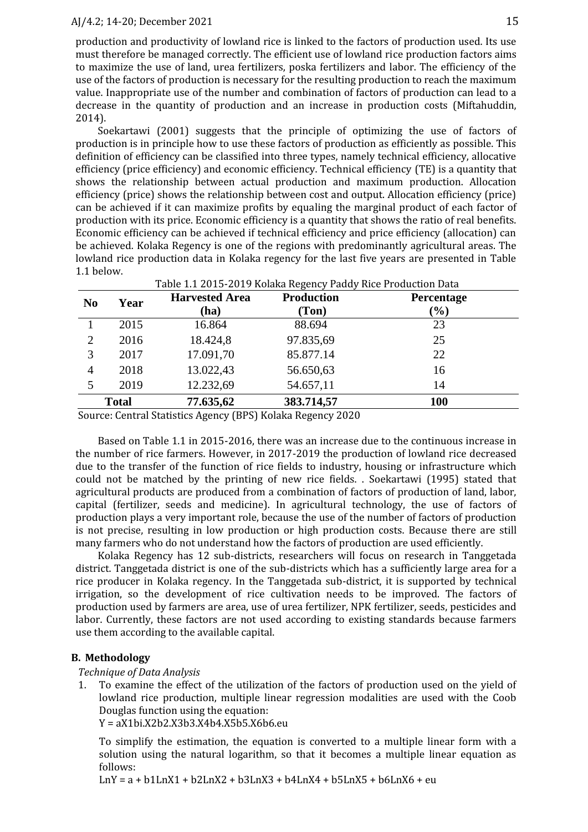#### AJ/4.2; 14-20; December 2021 15

production and productivity of lowland rice is linked to the factors of production used. Its use must therefore be managed correctly. The efficient use of lowland rice production factors aims to maximize the use of land, urea fertilizers, poska fertilizers and labor. The efficiency of the use of the factors of production is necessary for the resulting production to reach the maximum value. Inappropriate use of the number and combination of factors of production can lead to a decrease in the quantity of production and an increase in production costs (Miftahuddin, 2014).

Soekartawi (2001) suggests that the principle of optimizing the use of factors of production is in principle how to use these factors of production as efficiently as possible. This definition of efficiency can be classified into three types, namely technical efficiency, allocative efficiency (price efficiency) and economic efficiency. Technical efficiency (TE) is a quantity that shows the relationship between actual production and maximum production. Allocation efficiency (price) shows the relationship between cost and output. Allocation efficiency (price) can be achieved if it can maximize profits by equaling the marginal product of each factor of production with its price. Economic efficiency is a quantity that shows the ratio of real benefits. Economic efficiency can be achieved if technical efficiency and price efficiency (allocation) can be achieved. Kolaka Regency is one of the regions with predominantly agricultural areas. The lowland rice production data in Kolaka regency for the last five years are presented in Table 1.1 below.

| N <sub>0</sub> | Year | <b>Harvested Area</b> | <b>Production</b> | <b>Percentage</b> |  |
|----------------|------|-----------------------|-------------------|-------------------|--|
|                |      | (ha)                  | (Ton)             | $(\%)$            |  |
|                | 2015 | 16.864                | 88.694            | 23                |  |
| $\overline{2}$ | 2016 | 18.424,8              | 97.835,69         | 25                |  |
| 3              | 2017 | 17.091,70             | 85.877.14         | 22                |  |
| 4              | 2018 | 13.022,43             | 56.650,63         | 16                |  |
| 5              | 2019 | 12.232,69             | 54.657,11         | 14                |  |
| <b>Total</b>   |      | 77.635,62             | 383.714,57        | 100               |  |

Source: Central Statistics Agency (BPS) Kolaka Regency 2020

Based on Table 1.1 in 2015-2016, there was an increase due to the continuous increase in the number of rice farmers. However, in 2017-2019 the production of lowland rice decreased due to the transfer of the function of rice fields to industry, housing or infrastructure which could not be matched by the printing of new rice fields. . Soekartawi (1995) stated that agricultural products are produced from a combination of factors of production of land, labor, capital (fertilizer, seeds and medicine). In agricultural technology, the use of factors of production plays a very important role, because the use of the number of factors of production is not precise, resulting in low production or high production costs. Because there are still many farmers who do not understand how the factors of production are used efficiently.

Kolaka Regency has 12 sub-districts, researchers will focus on research in Tanggetada district. Tanggetada district is one of the sub-districts which has a sufficiently large area for a rice producer in Kolaka regency. In the Tanggetada sub-district, it is supported by technical irrigation, so the development of rice cultivation needs to be improved. The factors of production used by farmers are area, use of urea fertilizer, NPK fertilizer, seeds, pesticides and labor. Currently, these factors are not used according to existing standards because farmers use them according to the available capital.

#### **B. Methodology**

#### *Technique of Data Analysis*

1. To examine the effect of the utilization of the factors of production used on the yield of lowland rice production, multiple linear regression modalities are used with the Coob Douglas function using the equation:

Y = aX1bi.X2b2.X3b3.X4b4.X5b5.X6b6.eu

To simplify the estimation, the equation is converted to a multiple linear form with a solution using the natural logarithm, so that it becomes a multiple linear equation as follows:

 $LnY = a + b1LnX1 + b2LnX2 + b3LnX3 + b4LnX4 + b5LnX5 + b6LnX6 + eu$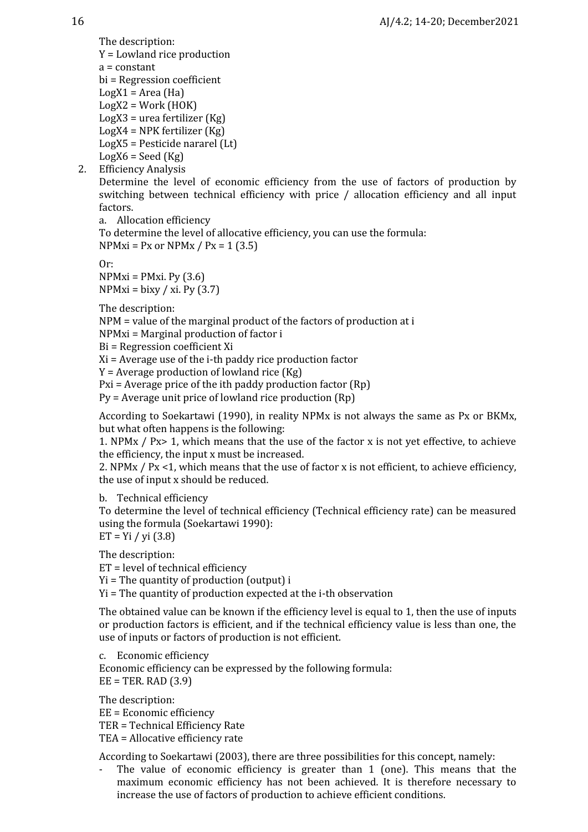The description: Y = Lowland rice production a = constant bi = Regression coefficient  $LogX1 = Area (Ha)$  $LogX2 = Work(HOK)$ LogX3 = urea fertilizer (Kg) LogX4 = NPK fertilizer (Kg) LogX5 = Pesticide nararel (Lt)  $LogX6 = Seed (Kg)$ 

2. Efficiency Analysis

Determine the level of economic efficiency from the use of factors of production by switching between technical efficiency with price / allocation efficiency and all input factors.

a. Allocation efficiency

To determine the level of allocative efficiency, you can use the formula:  $NPMxi = Px$  or  $NPMx / Px = 1 (3.5)$ 

Or:

 $NPMxi = PMxi$ . Py (3.6)  $NPMxi = bixy / xi. Py (3.7)$ 

The description:

NPM = value of the marginal product of the factors of production at i

NPMxi = Marginal production of factor i

Bi = Regression coefficient Xi

Xi = Average use of the i-th paddy rice production factor

 $Y =$  Average production of lowland rice (Kg)

Pxi = Average price of the ith paddy production factor (Rp)

Py = Average unit price of lowland rice production (Rp)

According to Soekartawi (1990), in reality NPMx is not always the same as Px or BKMx, but what often happens is the following:

1. NPMx / Px> 1, which means that the use of the factor x is not yet effective, to achieve the efficiency, the input x must be increased.

2. NPMx  $/$  Px <1, which means that the use of factor x is not efficient, to achieve efficiency, the use of input x should be reduced.

b. Technical efficiency

To determine the level of technical efficiency (Technical efficiency rate) can be measured using the formula (Soekartawi 1990):

 $ET = Yi / yi (3.8)$ 

The description:

ET = level of technical efficiency

Yi = The quantity of production (output) i

Yi = The quantity of production expected at the i-th observation

The obtained value can be known if the efficiency level is equal to 1, then the use of inputs or production factors is efficient, and if the technical efficiency value is less than one, the use of inputs or factors of production is not efficient.

c. Economic efficiency Economic efficiency can be expressed by the following formula:  $EE = TER$ . RAD  $(3.9)$ 

The description:

EE = Economic efficiency TER = Technical Efficiency Rate TEA = Allocative efficiency rate

According to Soekartawi (2003), there are three possibilities for this concept, namely:

The value of economic efficiency is greater than  $1$  (one). This means that the maximum economic efficiency has not been achieved. It is therefore necessary to increase the use of factors of production to achieve efficient conditions.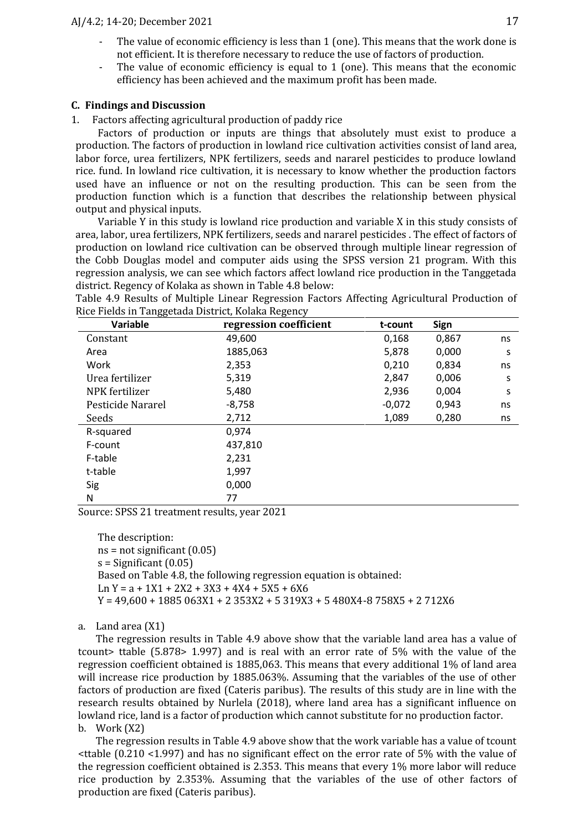- The value of economic efficiency is less than 1 (one). This means that the work done is not efficient. It is therefore necessary to reduce the use of factors of production.
- The value of economic efficiency is equal to  $1$  (one). This means that the economic efficiency has been achieved and the maximum profit has been made.

## **C. Findings and Discussion**

1. Factors affecting agricultural production of paddy rice

Factors of production or inputs are things that absolutely must exist to produce a production. The factors of production in lowland rice cultivation activities consist of land area, labor force, urea fertilizers, NPK fertilizers, seeds and nararel pesticides to produce lowland rice. fund. In lowland rice cultivation, it is necessary to know whether the production factors used have an influence or not on the resulting production. This can be seen from the production function which is a function that describes the relationship between physical output and physical inputs.

Variable Y in this study is lowland rice production and variable X in this study consists of area, labor, urea fertilizers, NPK fertilizers, seeds and nararel pesticides . The effect of factors of production on lowland rice cultivation can be observed through multiple linear regression of the Cobb Douglas model and computer aids using the SPSS version 21 program. With this regression analysis, we can see which factors affect lowland rice production in the Tanggetada district. Regency of Kolaka as shown in Table 4.8 below:

Table 4.9 Results of Multiple Linear Regression Factors Affecting Agricultural Production of Rice Fields in Tanggetada District, Kolaka Regency

| Variable          | regression coefficient | t-count  | Sign  |    |
|-------------------|------------------------|----------|-------|----|
| Constant          | 49,600                 | 0,168    | 0,867 | ns |
| Area              | 1885,063               | 5,878    | 0,000 | S  |
| Work              | 2,353                  | 0,210    | 0,834 | ns |
| Urea fertilizer   | 5,319                  | 2,847    | 0,006 | S  |
| NPK fertilizer    | 5,480                  | 2,936    | 0,004 | S  |
| Pesticide Nararel | $-8,758$               | $-0,072$ | 0,943 | ns |
| Seeds             | 2,712                  | 1,089    | 0,280 | ns |
| R-squared         | 0,974                  |          |       |    |
| F-count           | 437,810                |          |       |    |
| F-table           | 2,231                  |          |       |    |
| t-table           | 1,997                  |          |       |    |
| Sig               | 0,000                  |          |       |    |
| N                 | 77                     |          |       |    |

Source: SPSS 21 treatment results, year 2021

The description:  $ns = not significant (0.05)$  $s =$ Significant  $(0.05)$ Based on Table 4.8, the following regression equation is obtained:  $Ln Y = a + 1X1 + 2X2 + 3X3 + 4X4 + 5X5 + 6X6$  $Y = 49,600 + 1885063X1 + 2353X2 + 5319X3 + 5480X4 - 8758X5 + 2712X6$ 

#### a. Land area (X1)

The regression results in Table 4.9 above show that the variable land area has a value of tcount> ttable (5.878> 1.997) and is real with an error rate of 5% with the value of the regression coefficient obtained is 1885,063. This means that every additional 1% of land area will increase rice production by 1885.063%. Assuming that the variables of the use of other factors of production are fixed (Cateris paribus). The results of this study are in line with the research results obtained by Nurlela (2018), where land area has a significant influence on lowland rice, land is a factor of production which cannot substitute for no production factor. b. Work (X2)

The regression results in Table 4.9 above show that the work variable has a value of tcount  $\le$ ttable (0.210 <1.997) and has no significant effect on the error rate of 5% with the value of the regression coefficient obtained is 2.353. This means that every 1% more labor will reduce rice production by 2.353%. Assuming that the variables of the use of other factors of production are fixed (Cateris paribus).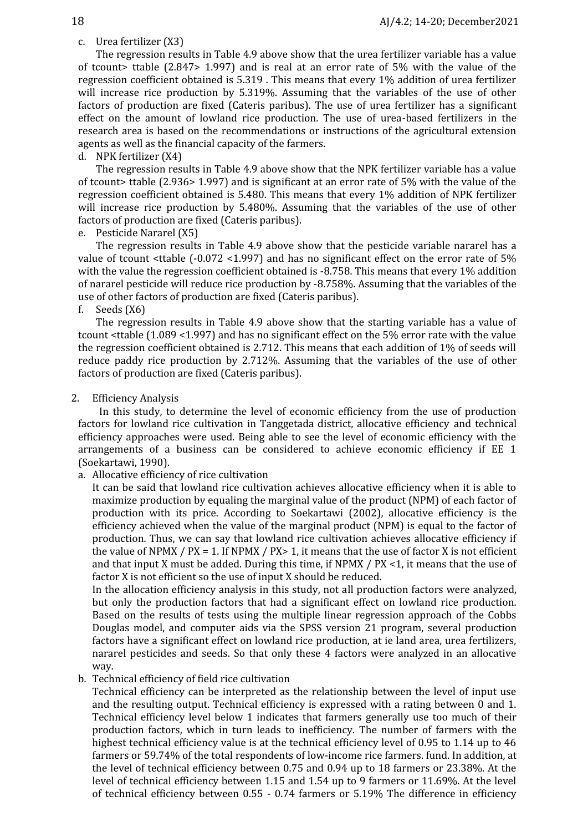## c. Urea fertilizer (X3)

The regression results in Table 4.9 above show that the urea fertilizer variable has a value of tcount> ttable (2.847> 1.997) and is real at an error rate of 5% with the value of the regression coefficient obtained is 5.319 . This means that every 1% addition of urea fertilizer will increase rice production by 5.319%. Assuming that the variables of the use of other factors of production are fixed (Cateris paribus). The use of urea fertilizer has a significant effect on the amount of lowland rice production. The use of urea-based fertilizers in the research area is based on the recommendations or instructions of the agricultural extension agents as well as the financial capacity of the farmers.

## d. NPK fertilizer (X4)

The regression results in Table 4.9 above show that the NPK fertilizer variable has a value of tcount> ttable (2.936> 1.997) and is significant at an error rate of 5% with the value of the regression coefficient obtained is 5.480. This means that every 1% addition of NPK fertilizer will increase rice production by 5.480%. Assuming that the variables of the use of other factors of production are fixed (Cateris paribus).

e. Pesticide Nararel (X5)

The regression results in Table 4.9 above show that the pesticide variable nararel has a value of tcount  $\text{stable }$  (-0.072 <1.997) and has no significant effect on the error rate of 5% with the value the regression coefficient obtained is -8.758. This means that every 1% addition of nararel pesticide will reduce rice production by -8.758%. Assuming that the variables of the use of other factors of production are fixed (Cateris paribus).<br>f. Seeds (X6)

## Seeds (X6)

The regression results in Table 4.9 above show that the starting variable has a value of tcount <ttable (1.089 <1.997) and has no significant effect on the 5% error rate with the value the regression coefficient obtained is 2.712. This means that each addition of 1% of seeds will reduce paddy rice production by 2.712%. Assuming that the variables of the use of other factors of production are fixed (Cateris paribus).

## 2. Efficiency Analysis

In this study, to determine the level of economic efficiency from the use of production factors for lowland rice cultivation in Tanggetada district, allocative efficiency and technical efficiency approaches were used. Being able to see the level of economic efficiency with the arrangements of a business can be considered to achieve economic efficiency if EE 1 (Soekartawi, 1990).

a. Allocative efficiency of rice cultivation

It can be said that lowland rice cultivation achieves allocative efficiency when it is able to maximize production by equaling the marginal value of the product (NPM) of each factor of production with its price. According to Soekartawi (2002), allocative efficiency is the efficiency achieved when the value of the marginal product (NPM) is equal to the factor of production. Thus, we can say that lowland rice cultivation achieves allocative efficiency if the value of NPMX /  $PX = 1$ . If NPMX /  $PX > 1$ , it means that the use of factor X is not efficient and that input X must be added. During this time, if NPMX / PX <1, it means that the use of factor X is not efficient so the use of input X should be reduced.

In the allocation efficiency analysis in this study, not all production factors were analyzed, but only the production factors that had a significant effect on lowland rice production. Based on the results of tests using the multiple linear regression approach of the Cobbs Douglas model, and computer aids via the SPSS version 21 program, several production factors have a significant effect on lowland rice production, at ie land area, urea fertilizers, nararel pesticides and seeds. So that only these 4 factors were analyzed in an allocative way.

# b. Technical efficiency of field rice cultivation

Technical efficiency can be interpreted as the relationship between the level of input use and the resulting output. Technical efficiency is expressed with a rating between 0 and 1. Technical efficiency level below 1 indicates that farmers generally use too much of their production factors, which in turn leads to inefficiency. The number of farmers with the highest technical efficiency value is at the technical efficiency level of 0.95 to 1.14 up to 46 farmers or 59.74% of the total respondents of low-income rice farmers. fund. In addition, at the level of technical efficiency between 0.75 and 0.94 up to 18 farmers or 23.38%. At the level of technical efficiency between 1.15 and 1.54 up to 9 farmers or 11.69%. At the level of technical efficiency between 0.55 - 0.74 farmers or 5.19% The difference in efficiency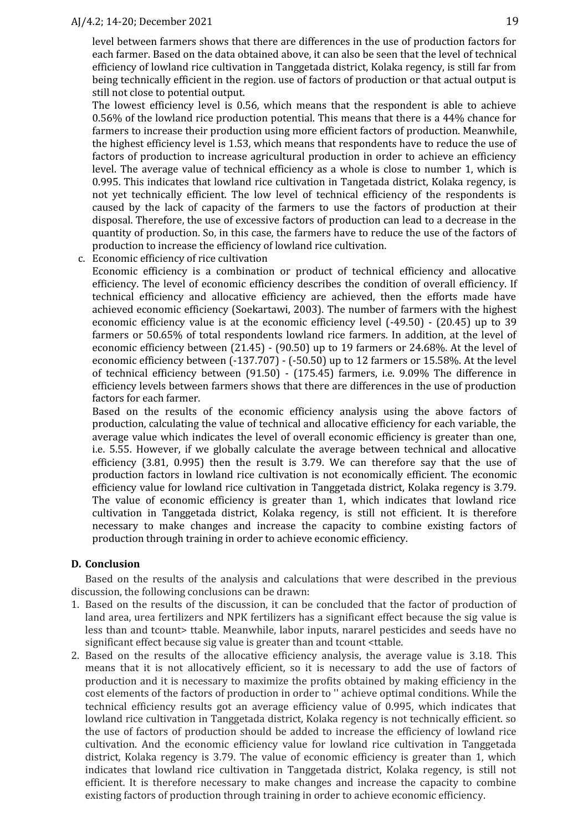### AJ/4.2; 14-20; December 2021 19

level between farmers shows that there are differences in the use of production factors for each farmer. Based on the data obtained above, it can also be seen that the level of technical efficiency of lowland rice cultivation in Tanggetada district, Kolaka regency, is still far from being technically efficient in the region. use of factors of production or that actual output is still not close to potential output.

The lowest efficiency level is 0.56, which means that the respondent is able to achieve 0.56% of the lowland rice production potential. This means that there is a 44% chance for farmers to increase their production using more efficient factors of production. Meanwhile, the highest efficiency level is 1.53, which means that respondents have to reduce the use of factors of production to increase agricultural production in order to achieve an efficiency level. The average value of technical efficiency as a whole is close to number 1, which is 0.995. This indicates that lowland rice cultivation in Tangetada district, Kolaka regency, is not yet technically efficient. The low level of technical efficiency of the respondents is caused by the lack of capacity of the farmers to use the factors of production at their disposal. Therefore, the use of excessive factors of production can lead to a decrease in the quantity of production. So, in this case, the farmers have to reduce the use of the factors of production to increase the efficiency of lowland rice cultivation.

c. Economic efficiency of rice cultivation

Economic efficiency is a combination or product of technical efficiency and allocative efficiency. The level of economic efficiency describes the condition of overall efficiency. If technical efficiency and allocative efficiency are achieved, then the efforts made have achieved economic efficiency (Soekartawi, 2003). The number of farmers with the highest economic efficiency value is at the economic efficiency level (-49.50) - (20.45) up to 39 farmers or 50.65% of total respondents lowland rice farmers. In addition, at the level of economic efficiency between (21.45) - (90.50) up to 19 farmers or 24.68%. At the level of economic efficiency between (-137.707) - (-50.50) up to 12 farmers or 15.58%. At the level of technical efficiency between (91.50) - (175.45) farmers, i.e. 9.09% The difference in efficiency levels between farmers shows that there are differences in the use of production factors for each farmer.

Based on the results of the economic efficiency analysis using the above factors of production, calculating the value of technical and allocative efficiency for each variable, the average value which indicates the level of overall economic efficiency is greater than one, i.e. 5.55. However, if we globally calculate the average between technical and allocative efficiency (3.81, 0.995) then the result is 3.79. We can therefore say that the use of production factors in lowland rice cultivation is not economically efficient. The economic efficiency value for lowland rice cultivation in Tanggetada district, Kolaka regency is 3.79. The value of economic efficiency is greater than 1, which indicates that lowland rice cultivation in Tanggetada district, Kolaka regency, is still not efficient. It is therefore necessary to make changes and increase the capacity to combine existing factors of production through training in order to achieve economic efficiency.

# **D. Conclusion**

Based on the results of the analysis and calculations that were described in the previous discussion, the following conclusions can be drawn:

- 1. Based on the results of the discussion, it can be concluded that the factor of production of land area, urea fertilizers and NPK fertilizers has a significant effect because the sig value is less than and tcount> ttable. Meanwhile, labor inputs, nararel pesticides and seeds have no significant effect because sig value is greater than and tcount <ttable.
- 2. Based on the results of the allocative efficiency analysis, the average value is 3.18. This means that it is not allocatively efficient, so it is necessary to add the use of factors of production and it is necessary to maximize the profits obtained by making efficiency in the cost elements of the factors of production in order to '' achieve optimal conditions. While the technical efficiency results got an average efficiency value of 0.995, which indicates that lowland rice cultivation in Tanggetada district, Kolaka regency is not technically efficient. so the use of factors of production should be added to increase the efficiency of lowland rice cultivation. And the economic efficiency value for lowland rice cultivation in Tanggetada district, Kolaka regency is 3.79. The value of economic efficiency is greater than 1, which indicates that lowland rice cultivation in Tanggetada district, Kolaka regency, is still not efficient. It is therefore necessary to make changes and increase the capacity to combine existing factors of production through training in order to achieve economic efficiency.